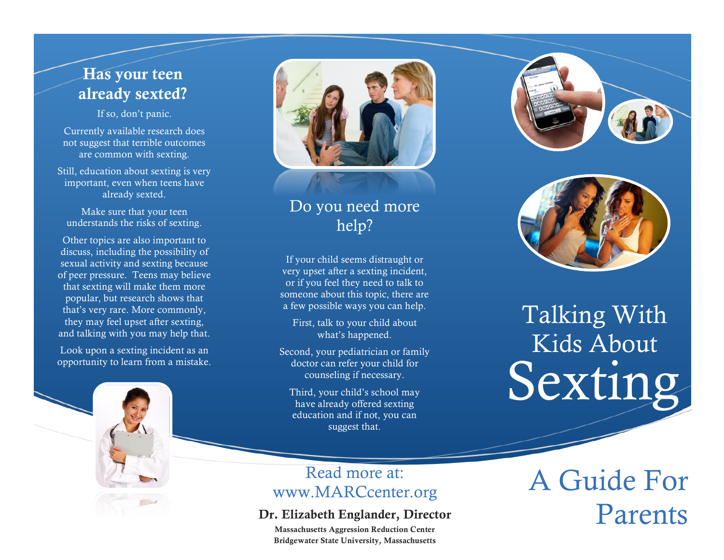## Has your teen already sexted?

If so, don't panic.

Currently available research does not suggest that terrible outcomes are common with sexting.

Still, education about sexting is very important, even when teens have already sexted.

Make sure that your teen understands the risks of sexting.

Other topics are also important to discuss, including the possibility of sexual activity and sexting because of peer pressure. Teens may believe that sexting will make them more popular, but research shows that that's very rare. More commonly, they may feel upset after sexting, and talking with you may help that.

Look upon a sexting incident as an opportunity to learn from a mistake.



### Do you need more help?

If your child seems distraught or very upset after a sexting incident, or if you feel they need to talk to someone about this topic, there are a few possible ways you can help.

First, talk to your child about what's happened.

Second, your pediatrician or family doctor can refer your child for counseling if necessary.

Third, your child's school may have already offered sexting education and if not, you can suggest that.

### Read more at: Read more at:<br>WWW.MARCcenter.org A Guide For

#### Dr. Elizabeth Englander, Director

Massachusetts Aggression Reduction Center Bridgewater State University, Massachusetts





## Talking With Kids About Sexting

Parents